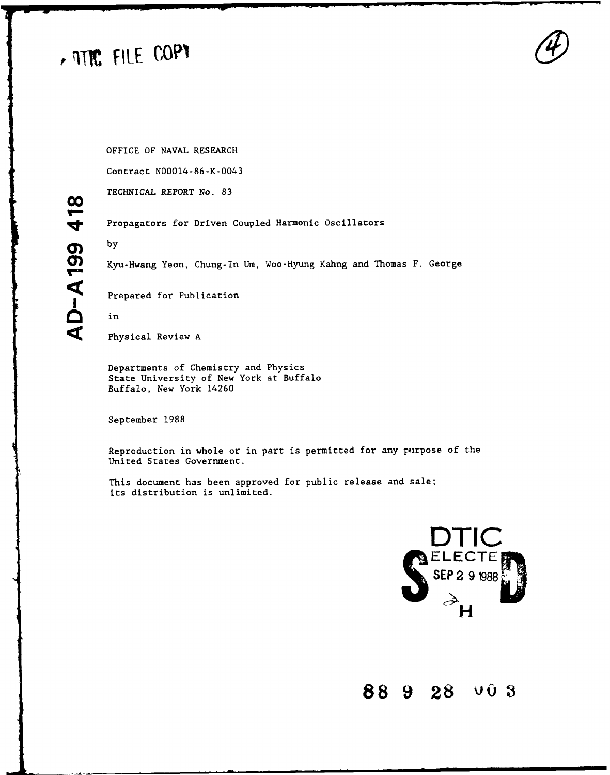# A MTC FILE COPY

OFFICE OF **NAVAL** RESEARCH

Contract N00014-86-K-0043

TECHNICAL REPORT No. **83**

Propagators for Driven Coupled Harmonic Oscillators

**Ml)** Kyu-Hwang Yeon, Chung-In Um, Woo-Hyung Kahng and Thomas F. George

Prepared for Publication

**O** in

Physical Review A

Departments of Chemistry and Physics State University of New York at Buffalo Buffalo, New York 14260

September 1988

Reproduction in whole or in part is permitted for any purpose of the United States Government.

This document has been approved for public release and sale; its distribution is unlimited.



# **88 9 28 'J03**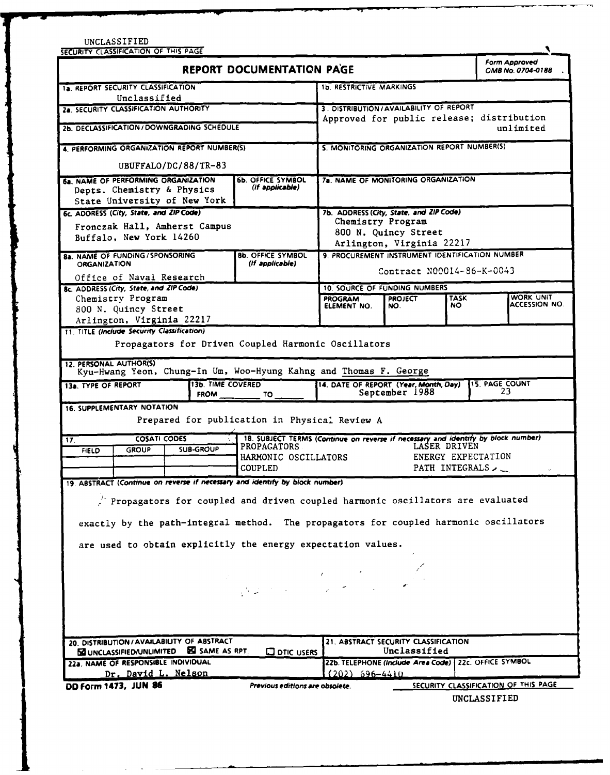|                                                                                                                                                                                 |                                                        |                                                                        |                                                                                   |                    | Form Approved                        |  |  |  |
|---------------------------------------------------------------------------------------------------------------------------------------------------------------------------------|--------------------------------------------------------|------------------------------------------------------------------------|-----------------------------------------------------------------------------------|--------------------|--------------------------------------|--|--|--|
|                                                                                                                                                                                 | REPORT DOCUMENTATION PAGE                              |                                                                        |                                                                                   | OMB No. 0704-0188  |                                      |  |  |  |
| 1a. REPORT SECURITY CLASSIFICATION                                                                                                                                              |                                                        | <b>1b. RESTRICTIVE MARKINGS</b>                                        |                                                                                   |                    |                                      |  |  |  |
| Unclassified                                                                                                                                                                    |                                                        |                                                                        |                                                                                   |                    |                                      |  |  |  |
| 2a. SECURITY CLASSIFICATION AUTHORITY                                                                                                                                           |                                                        | 3. DISTRIBUTION / AVAILABILITY OF REPORT                               |                                                                                   |                    |                                      |  |  |  |
| 2b. DECLASSIFICATION / DOWNGRADING SCHEDULE                                                                                                                                     |                                                        | Approved for public release; distribution                              |                                                                                   | unlimited          |                                      |  |  |  |
| 4. PERFORMING ORGANIZATION REPORT NUMBER(S)                                                                                                                                     |                                                        |                                                                        | 5. MONITORING ORGANIZATION REPORT NUMBER(S)                                       |                    |                                      |  |  |  |
| UBUFFALO/DC/88/TR-83                                                                                                                                                            |                                                        |                                                                        |                                                                                   |                    |                                      |  |  |  |
| 6a. NAME OF PERFORMING ORGANIZATION<br>Depts. Chemistry & Physics<br>State University of New York                                                                               | <b>6b. OFFICE SYMBOL</b><br>(if applicable)            |                                                                        | 7a. NAME OF MONITORING ORGANIZATION                                               |                    |                                      |  |  |  |
| 6c. ADDRESS (City, State, and ZIP Code)                                                                                                                                         |                                                        |                                                                        | 7b. ADDRESS (City, State, and ZIP Code)                                           |                    |                                      |  |  |  |
| Fronczak Hall, Amherst Campus<br>Buffalo, New York 14260                                                                                                                        |                                                        | Chemistry Program<br>800 N. Quincy Street<br>Arlington, Virginia 22217 |                                                                                   |                    |                                      |  |  |  |
| <b>8a. NAME OF FUNDING / SPONSORING</b><br><b>ORGANIZATION</b>                                                                                                                  | <b>8b. OFFICE SYMBOL</b><br>(if applicable)            | 9. PROCUREMENT INSTRUMENT IDENTIFICATION NUMBER                        |                                                                                   |                    |                                      |  |  |  |
| Office of Naval Research                                                                                                                                                        |                                                        | Contract N00014-86-K-0043                                              |                                                                                   |                    |                                      |  |  |  |
| 8c. ADDRESS (City, State, and ZIP Code)                                                                                                                                         |                                                        |                                                                        | <b>10. SOURCE OF FUNDING NUMBERS</b>                                              |                    |                                      |  |  |  |
| Chemistry Program<br>800 N. Quincy Street                                                                                                                                       |                                                        | <b>PROGRAM</b><br>ELEMENT NO.                                          | <b>PROJECT</b><br>NO.                                                             | <b>TASK</b><br>NO. | WORK UNIT<br><b>ACCESSION NO.</b>    |  |  |  |
| Arlington, Virginia 22217                                                                                                                                                       |                                                        |                                                                        |                                                                                   |                    |                                      |  |  |  |
| 11. TITLE (Include Security Classification)                                                                                                                                     |                                                        |                                                                        |                                                                                   |                    |                                      |  |  |  |
| Propagators for Driven Coupled Harmonic Oscillators<br>12. PERSONAL AUTHOR(S)<br>Kyu-Hwang Yeon, Chung-In Um, Woo-Hyung Kahng and Thomas F. George                              |                                                        |                                                                        |                                                                                   |                    |                                      |  |  |  |
| 13b. TIME COVERED<br>13a. TYPE OF REPORT<br><b>FROM</b>                                                                                                                         | TO                                                     |                                                                        | 14. DATE OF REPORT (Year, Month, Day)<br>September 1988                           |                    | <b>15. PAGE COUNT</b><br>23          |  |  |  |
| <b>16. SUPPLEMENTARY NOTATION</b><br>Prepared for publication in Physical Review A<br><b>COSATI CODES</b><br>17.                                                                |                                                        |                                                                        | 18. SUBJECT TERMS (Continue on reverse if necessary and identify by block number) |                    |                                      |  |  |  |
| <b>SUB-GROUP</b><br><b>GROUP</b><br><b>FIELD</b>                                                                                                                                | <b>PROPAGATORS</b><br>HARMONIC OSCILLATORS<br>COUPLED. |                                                                        | LASER DRIVEN<br>ENERGY EXPECTATION<br>PATH INTEGRALS                              |                    |                                      |  |  |  |
| 19. ABSTRACT (Continue on reverse if necessary and identify by block number)                                                                                                    |                                                        |                                                                        |                                                                                   |                    |                                      |  |  |  |
| $\angle$ Propagators for coupled and driven coupled harmonic oscillators are evaluated<br>exactly by the path-integral method. The propagators for coupled harmonic oscillators |                                                        |                                                                        |                                                                                   |                    |                                      |  |  |  |
| are used to obtain explicitly the energy expectation values.                                                                                                                    |                                                        |                                                                        |                                                                                   |                    |                                      |  |  |  |
|                                                                                                                                                                                 |                                                        |                                                                        |                                                                                   |                    |                                      |  |  |  |
|                                                                                                                                                                                 |                                                        |                                                                        |                                                                                   |                    |                                      |  |  |  |
|                                                                                                                                                                                 |                                                        |                                                                        |                                                                                   |                    |                                      |  |  |  |
| 20. DISTRIBUTION / AVAILABILITY OF ABSTRACT                                                                                                                                     |                                                        |                                                                        | 21. ABSTRACT SECURITY CLASSIFICATION                                              |                    |                                      |  |  |  |
|                                                                                                                                                                                 |                                                        |                                                                        | Unclassified                                                                      |                    |                                      |  |  |  |
|                                                                                                                                                                                 |                                                        |                                                                        |                                                                                   |                    |                                      |  |  |  |
| <b>EQUINCLASSIFIED/UNLIMITED EQ SAME AS RPT.</b><br>22a. NAME OF RESPONSIBLE INDIVIDUAL                                                                                         | <b>Q DTIC USERS</b>                                    |                                                                        | 22b. TELEPHONE (Include Area Code)   22c. OFFICE SYMBOL                           |                    |                                      |  |  |  |
| Dr. David L. Nelson                                                                                                                                                             |                                                        | $(202)$ 696-4410                                                       |                                                                                   |                    |                                      |  |  |  |
| DD Form 1473, JUN 86                                                                                                                                                            | Previous editions are obsolete.                        |                                                                        |                                                                                   |                    | SECURITY CLASSIFICATION OF THIS PAGE |  |  |  |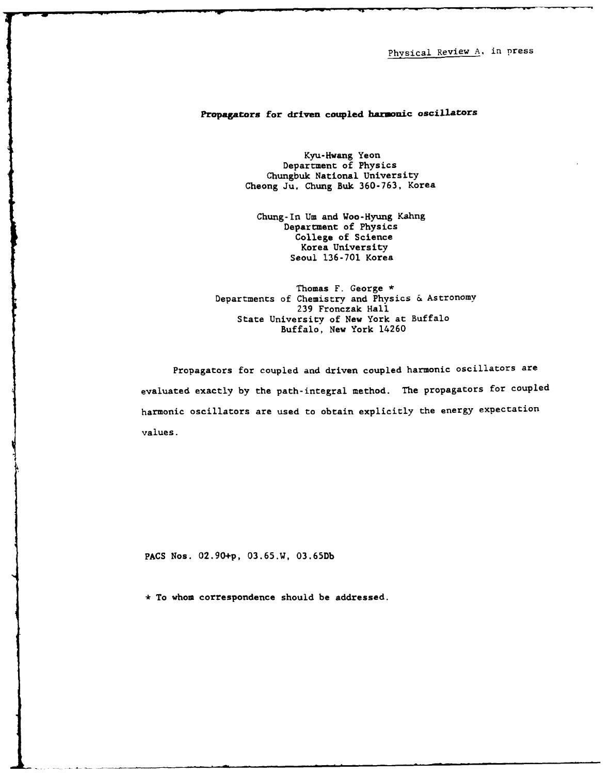Physical Review A, in press

# Propagators for **driven coupled hanonic** oscillators

Kyu-Hwang Yeon Department of Physics Chungbuk National University Cheong Ju, Chung Buk 360-763, Korea

Chung-In Um and Woo-Hyung Kahng Department of Physics College of Science Korea University Seoul 136-701 Korea

Thomas F. George \* Departments of Chemistry and Physics & Astronomy **239** Fronczak Hall State University of New York at Buffalo Buffalo, New York 14260

Propagators for coupled and driven coupled harmonic oscillators are evaluated exactly by the path-integral method. The propagators for coupled harmonic oscillators are used to obtain explicitly the energy expectation values.

PACS Nos. **02 .9 0+p, 03.65.W, 03.65Db**

\* To whom correspondence should be addressed.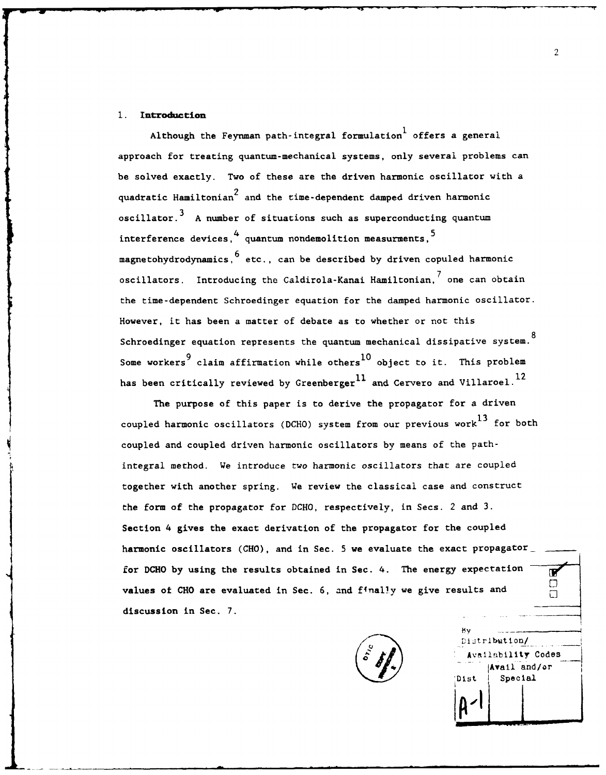# **1.** Introduction

Although the Feynman path-integral formulation offers a general approach for treating quantum-mechanical systems, only several problems can be solved exactly. Two of these are the driven harmonic oscillator with a quadratic Hamiltonian<sup>2</sup> and the time-dependent damped driven harmonic **3** oscillator.<sup>3</sup> A number of situations such as superconducting quantum interference devices,  $^4$  quantum nondemolition measurments,  $^5$ magnetohydrodynamics, <sup>b</sup> etc., can be described by driven copuled harmonic **4: 7** oscillators. Introducing the Caldirola-Kanai Hamiltonian, one can obtain the time-dependent Schroedinger equation for the damped harmonic oscillator. However, it has been a matter of debate as to whether or not this Schroedinger equation represents the quantum mechanical dissipative system. Some workers<sup>9</sup> claim affirmation while others<sup>10</sup> object to it. This problem has been critically reviewed by Greenberger<sup>11</sup> and Cervero and Villaroel.<sup>12</sup>

The purpose of this paper is to derive the propagator for a driven coupled harmonic oscillators (DCHO) system from our previous work<sup>13</sup> for both coupled and coupled driven harmonic oscillators by means of the pathintegral method. We introduce two harmonic oscillators that are coupled together with another spring. We review the classical case and construct the form of the propagator for DCHO, respectively, in Secs. 2 and 3. Section 4 gives the exact derivation of the propagator for the coupled harmonic oscillators (CHO), and in Sec. 5 we evaluate the exact propagator for **DCHO by** using the results obtained in Sec. 4. The energy expectation values **of CHO** are evaluated in Sec. **6,** and finally we give results and discussion in Sec. 7.



**BV** Distribution/ Availability Codes<br>... (Avail and/or Dist Special **...L**

**IF** □  $\Box$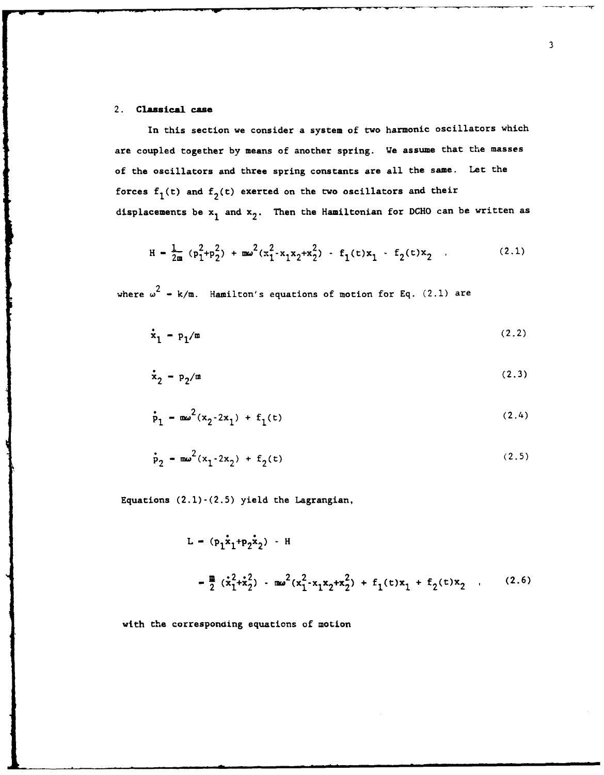# **2. Classical case**

In this section we consider a system of two harmonic oscillators which are coupled together **by** means of another spring. We assume that the masses of the oscillators and three spring constants are all the same. Let the forces  $f_1(t)$  and  $f_2(t)$  exerted on the two oscillators and their displacements be **xI** and **x2 .** Then the Hamiltonian for **DCHO** can be written as

$$
H = \frac{1}{2m} (p_1^2 + p_2^2) + m\omega^2 (x_1^2 - x_1x_2 + x_2^2) - f_1(\tau)x_1 - f_2(\tau)x_2
$$
 (2.1)

where  $\omega^2$  = k/m. Hamilton's equations of motion for Eq.  $(2.1)$  are

$$
\dot{\mathbf{x}}_1 - \mathbf{p}_1/\mathfrak{m} \tag{2.2}
$$

$$
\dot{\mathbf{x}}_2 - \mathbf{p}_2/\mathbf{m} \tag{2.3}
$$

$$
\dot{p}_1 - m\omega^2 (x_2 - 2x_1) + f_1(t) \tag{2.4}
$$

$$
f_2 - m\omega^2(x_1 - 2x_2) + f_2(t) \tag{2.5}
$$

Equations **(2.1)-(2.5)** yield the Lagrangian,

$$
L = (p_1 \dot{x}_1 + p_2 \dot{x}_2) - H
$$
  

$$
= \frac{m}{2} (\dot{x}_1^2 + \dot{x}_2^2) - m\omega^2 (x_1^2 - x_1 x_2 + x_2^2) + f_1(t)x_1 + f_2(t)x_2 , \qquad (2.6)
$$

with the corresponding equations of motion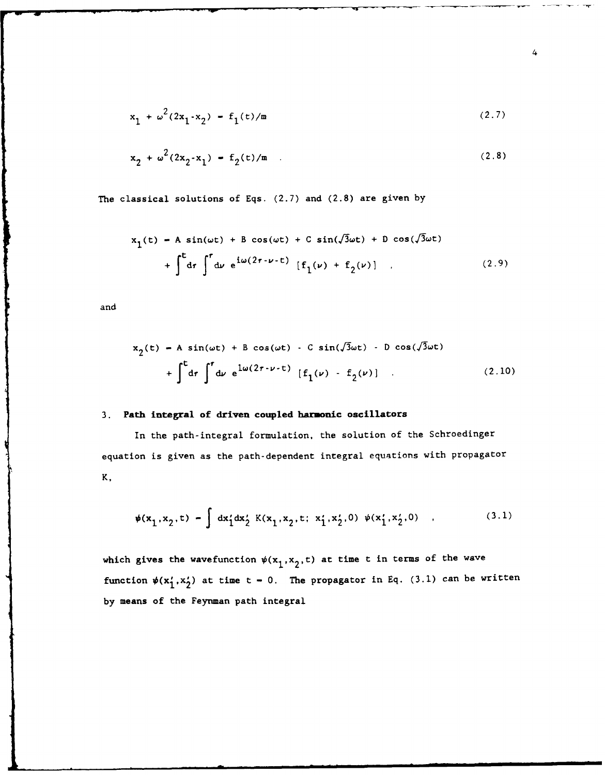$$
x_1 + \omega^2 (2x_1 \cdot x_2) - f_1(t)/m \tag{2.7}
$$

$$
x_2 + \omega^2 (2x_2 \cdot x_1) = f_2(t)/m \quad . \tag{2.8}
$$

The classical solutions of Eqs. (2.7) and (2.8) are given by

$$
x_1(t) - A \sin(\omega t) + B \cos(\omega t) + C \sin(\sqrt{3}\omega t) + D \cos(\sqrt{3}\omega t)
$$
  
+ 
$$
\int_0^t dr \int_0^r dr e^{i\omega(2r - \nu - t)} [f_1(\nu) + f_2(\nu)] \qquad (2.9)
$$

and

$$
x_2(t) - A \sin(\omega t) + B \cos(\omega t) - C \sin(\sqrt{3}\omega t) - D \cos(\sqrt{3}\omega t)
$$
  
+ 
$$
\int_0^t dr \int_0^r dr e^{\frac{1}{\omega}(2r - \nu - t)} [f_1(\nu) - f_2(\nu)]
$$
 (2.10)

# 3. **Path** integral **of driven coupled harmonic oscillators**

In the path-integral formulation, the solution of the Schroedinger equation is given as the path-dependent integral equations with propagator K,

$$
\psi(x_1, x_2, t) - \int dx_1' dx_2' K(x_1, x_2, t; x_1', x_2', 0) \psi(x_1', x_2', 0) , \qquad (3.1)
$$

which gives the wavefunction  $\psi(x_1, x_2, t)$  at time t in terms of the wave function  $\psi(x'_1, x'_2)$  at time  $t - 0$ . The propagator in Eq. (3.1) can be written **by** means of the Feynman path integral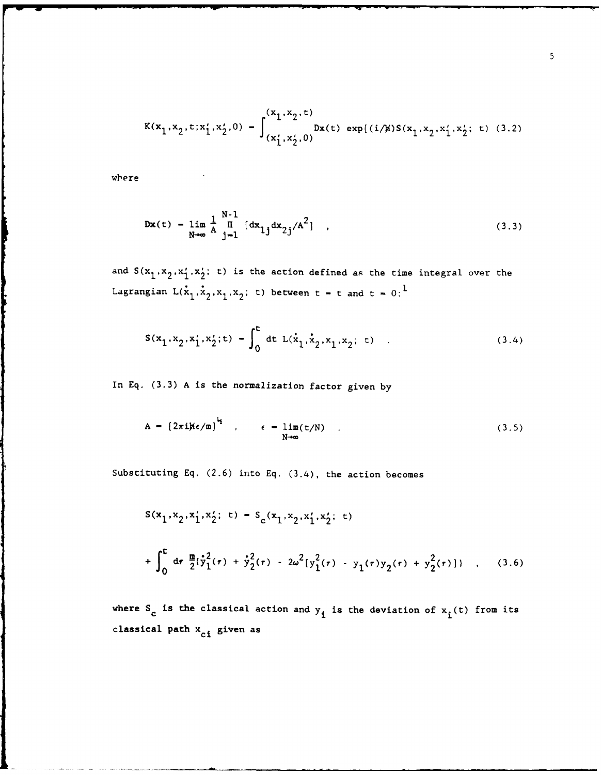$$
K(x_1, x_2, t; x_1', x_2', 0) = \int_{(x_1', x_2', 0)}^{(x_1, x_2, t)} \text{Dx}(t) \exp\{(i/\mu)S(x_1, x_2, x_1', x_2'; t) \quad (3.2)
$$

where

$$
Dx(t) = \lim_{N \to \infty} \frac{1}{A} \prod_{j=1}^{N-1} [\mathrm{dx}_{1j} \mathrm{dx}_{2j}/A^2], \qquad (3.3)
$$

and  $S(x_1, x_2, x'_1, x'_2; t)$  is the action defined as the time integral over the Lagrangian  $L(\mathbf{x}_1, \mathbf{x}_2, \mathbf{x}_1, \mathbf{x}_2; t)$  between  $t = t$  and  $t = 0:$ <sup>1</sup>

$$
S(x_1, x_2, x_1', x_2'; t) - \int_0^t dt L(x_1, x_2, x_1, x_2; t)
$$
 (3.4)

In **Eq. (3.3) A** is the normalization factor given **by**

$$
A = \left[2\pi i\hbar\epsilon/m\right]^{\frac{1}{2}} , \qquad \epsilon = \lim_{N \to \infty} (t/N) . \qquad (3.5)
$$

Substituting **Eq. (2.6)** into **Eq.** (3.4), the action becomes

$$
S(x_1, x_2, x'_1, x'_2; t) - S_c(x_1, x_2, x'_1, x'_2; t)
$$
  
+ 
$$
\int_0^t dr \frac{m}{2} \left[ \dot{y}_1^2(\tau) + \dot{y}_2^2(\tau) - 2\omega^2 \left[ y_1^2(\tau) - y_1(\tau) y_2(\tau) + y_2^2(\tau) \right] \right] , \quad (3.6)
$$

where  $S_c$  is the classical action and  $y_i$  is the deviation of  $x_i(t)$  from its classical path  $\mathbf{x}_{ci}$  given as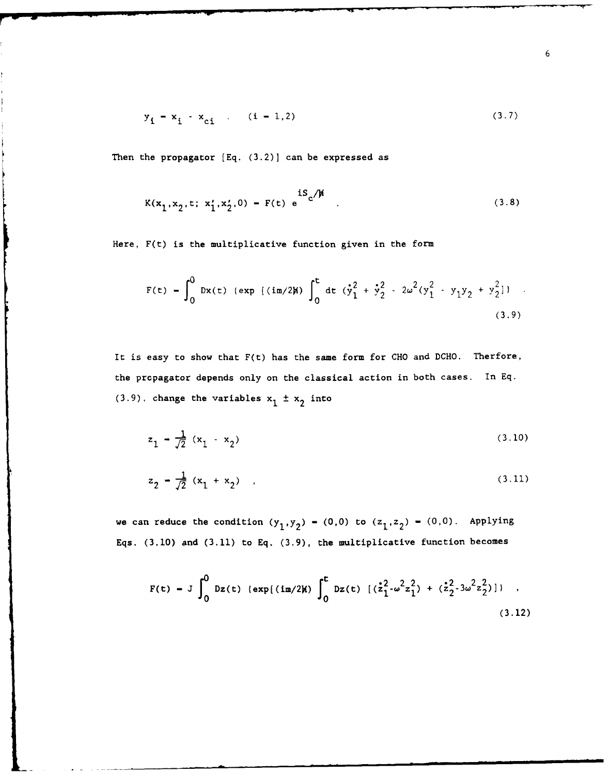$$
y_{i} - x_{i} - x_{ci} \qquad (i = 1, 2)
$$
 (3.7)

Then the propagator **(Eq.** (3.2)] can be expressed as

$$
K(x_1, x_2, t; x'_1, x'_2, 0) - F(t) e \n\tag{3.8}
$$

Here, F(t) is the multiplicative function given in the form

$$
F(t) = \int_0^0 Dx(t) \{ \exp \{ (im/2\mu) \int_0^t dt \ (\dot{y}_1^2 + \dot{y}_2^2 - 2\omega^2 (y_1^2 - y_1 y_2 + y_2^2) \} \}.
$$
\n(3.9)

It is easy to show that F(t) has the same form for CHO and DCHO. Therfore, the propagator depends only on the classical action in both cases. In Eq.  $(3.9)$ . change the variables  $x_1 \pm x_2$  into

$$
z_1 - \frac{1}{\sqrt{2}} (x_1 - x_2) \tag{3.10}
$$

$$
z_2 = \frac{1}{\sqrt{2}} (x_1 + x_2) \quad , \tag{3.11}
$$

we can reduce the condition  $(y_1, y_2) - (0,0)$  to  $(z_1, z_2) - (0,0)$ . Applying Eqs. (3.10) and (3.11) to Eq. (3.9), the multiplicative function becomes

$$
F(t) = J \int_0^0 Dz(t) \{ \exp[(i\pi/2)t] \int_0^t Dz(t) \{ (\dot{z}_1^2 - \omega^2 z_1^2) + (\dot{z}_2^2 - 3\omega^2 z_2^2) \} ] \quad ,
$$
\n(3.12)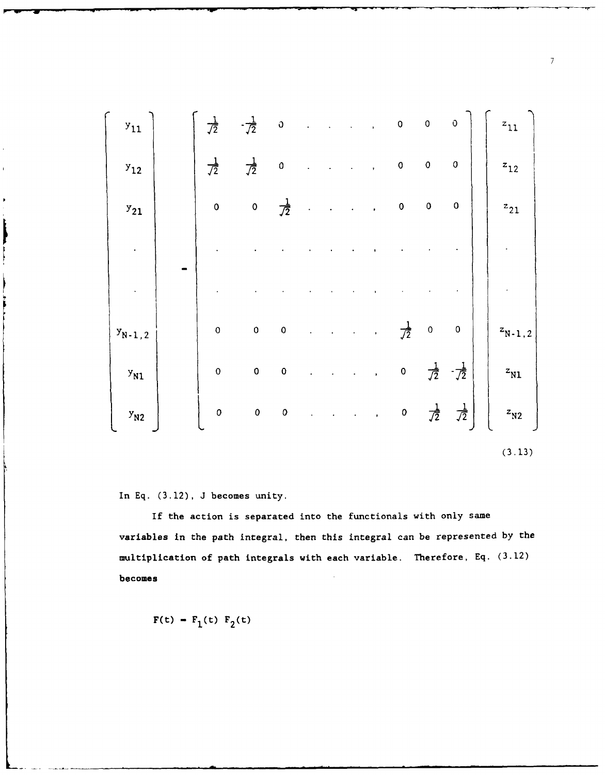| $y_{11}$    | $\frac{1}{\sqrt{2}}$ | $-\frac{1}{\sqrt{2}}$ | $\mathfrak{0}$       |  | $\bullet$      | $\pmb{\mathsf{O}}$   | $\mathbf{o}$         | $\mathbf 0$           | $z_{11}$                    |  |
|-------------|----------------------|-----------------------|----------------------|--|----------------|----------------------|----------------------|-----------------------|-----------------------------|--|
| $y_{12}$    | $\frac{1}{\sqrt{2}}$ | $\frac{1}{\sqrt{2}}$  | $\mathbf{0}$         |  |                | $\mathbf 0$          | $\mathbf{o}$         | $\pmb{\mathsf{O}}$    | $z_{12}$                    |  |
| $y_{21}$    | $\mathbf 0$          | $\mathbf 0$           | $\frac{1}{\sqrt{2}}$ |  |                | $\pmb{0}$            | $\mathbf 0$          | $\mathbf 0$           | $z_{21}$                    |  |
|             |                      |                       |                      |  |                |                      |                      |                       |                             |  |
|             |                      |                       |                      |  |                |                      |                      |                       |                             |  |
| $y_{N-1,2}$ | $\mathbf 0$          | $\mathbf 0$           | $\mathbf 0$          |  | $\blacksquare$ | $\frac{1}{\sqrt{2}}$ | $\mathbf{0}$         | $\pmb{0}$             | $\mathbf{z}_{\text{N-1,2}}$ |  |
| $y_{N1}$    | $\mathbf{o}$         | $\mathbf 0$           | $\mathbf 0$          |  |                | $\mathbf 0$          | $\frac{1}{\sqrt{2}}$ | $-\frac{1}{\sqrt{2}}$ | $z_{N1}$                    |  |
| $y_{N2}$    | $\mathbf{0}$         | $\pmb{\mathsf{O}}$    | $\mathbf{o}$         |  |                | $\mathbf{0}$         | $\frac{1}{\sqrt{2}}$ | $\frac{1}{\sqrt{2}}$  | $z_{\rm N2}$                |  |
|             |                      |                       |                      |  |                |                      |                      |                       |                             |  |

(3.13)

In **Eq.** (3.12), J becomes unity.

If the action is separated into the functionals with only same variables in the path integral, then this integral can be represented by the multiplication of path integrals with each variable. Therefore, Eq. (3.12) becomes

 $F(t) - F_1(t) F_2(t)$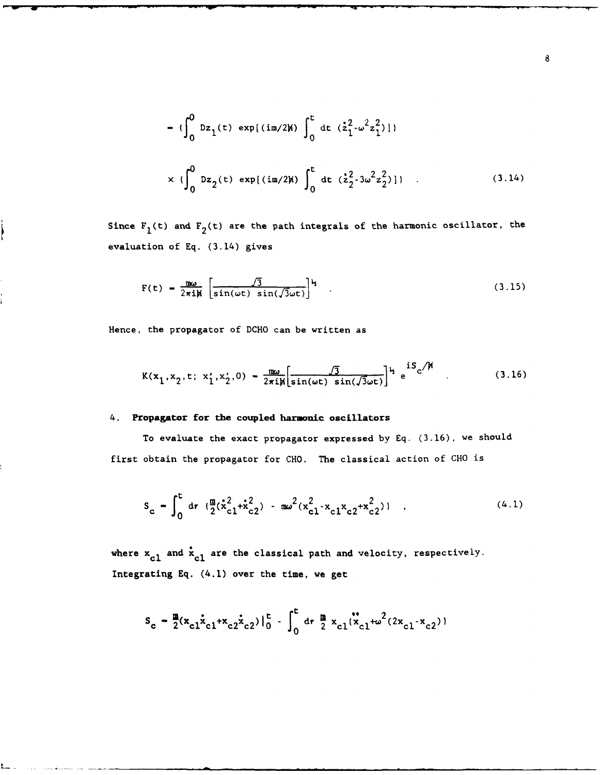$$
= \left\{\int_0^0 \mathrm{D}z_1(t) \, \exp[(\mathrm{im}/2\mu)] \int_0^t \mathrm{dt} \, (z_1^2 - \omega^2 z_1^2)]\right\}
$$
  

$$
\times \left\{\int_0^0 \mathrm{D}z_2(t) \, \exp[(\mathrm{im}/2\mu)] \int_0^t \mathrm{dt} \, (z_2^2 - 3\omega^2 z_2^2)]\right\} \qquad (3.14)
$$

Since  $F_1(t)$  and  $F_2(t)$  are the path integrals of the harmonic oscillator, the evaluation of **Eq.** (3.14) gives

$$
F(t) = \frac{m\omega}{2\pi i\hbar} \left[ \frac{\sqrt{3}}{\sin(\omega t) \sin(\sqrt{3}\omega t)} \right]^{k} \tag{3.15}
$$

Hence, the propagator of **DCHO** can be written as

$$
K(x_1, x_2, t; x_1', x_2', 0) = \frac{\pi \omega}{2\pi i \pi \left[ \sin(\omega t) \sin(\sqrt{3}\omega t) \right]} \mu_e^{iS_c/\mu}
$$
 (3.16)

# 4. **Propagator for the coupled harmonic oscillators**

To evaluate the exact propagator expressed **by Eq. (3.16),** we should first obtain the propagator for **CHO.** The classical action of **CHO** is

$$
S_c = \int_0^t dr \left( \frac{\pi}{2} (\dot{x}_{c1}^2 + \dot{x}_{c2}^2) - \pi \omega^2 (x_{c1}^2 - x_{c1}^2 x_{c2} + x_{c2}^2) \right) , \qquad (4.1)
$$

where  $x_{c1}$  and  $\dot{x}_{c1}$  are the classical path and velocity, respectively. **Integrating Eq.** (4.1) over the time, we get

$$
S_c = \frac{m}{2}(x_{c1}x_{c1}+x_{c2}x_{c2})\Big|_0^c - \int_0^c dr \frac{m}{2} x_{c1}x_{c1}^* + \omega^2(2x_{c1}+x_{c2})
$$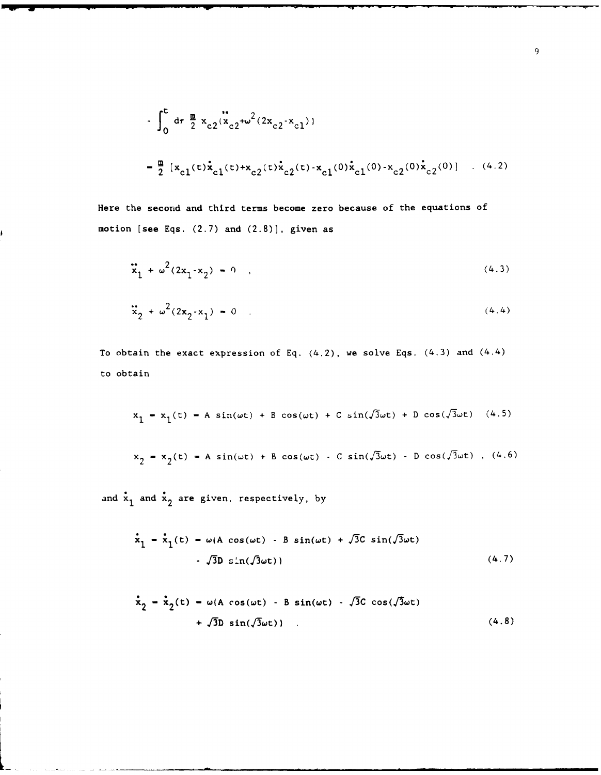$$
\int_0^t dr \frac{m}{2} x_{c2} (x_{c2} + \omega^2 (2x_{c2} - x_{c1}))
$$
  

$$
= \frac{m}{2} [x_{c1} (t) x_{c1} (t) + x_{c2} (t) x_{c2} (t) - x_{c1} (0) x_{c1} (0) - x_{c2} (0) x_{c2} (0)] \quad . \quad (4.2)
$$

Here the second and third terms become zero because of the equations of motion [see Eqs. (2.7) and (2.8)], given as

$$
\ddot{x}_1 + \omega^2 (2x_1 \cdot x_2) - 0 \quad . \tag{4.3}
$$

$$
\ddot{x}_2 + \omega^2 (2x_2 - x_1) - 0 \tag{4.4}
$$

To obtain the exact expression of Eq.  $(4.2)$ , we solve Eqs.  $(4.3)$  and  $(4.4)$ to obtain

$$
x_1 - x_1(t) - A \sin(\omega t) + B \cos(\omega t) + C \sin(\sqrt{3}\omega t) + D \cos(\sqrt{3}\omega t) \quad (4.5)
$$

$$
x_2 = x_2(t) = A \sin(\omega t) + B \cos(\omega t) - C \sin(\sqrt{3}\omega t) - D \cos(\sqrt{3}\omega t)
$$
, (4.6)

and  $\dot{x}_1$  and  $\dot{x}_2$  are given, respectively, by

$$
\dot{x}_1 - \dot{x}_1(t) - \omega(A \cos(\omega t) - B \sin(\omega t) + \sqrt{3}C \sin(\sqrt{3}\omega t)
$$
  
-  $\sqrt{3}D \sin(\sqrt{3}\omega t)$  (4.7)

$$
\dot{x}_2 - \dot{x}_2(t) - \omega(A \cos(\omega t) - B \sin(\omega t) - \sqrt{3}C \cos(\sqrt{3}\omega t) + \sqrt{3}D \sin(\sqrt{3}\omega t) \qquad (4.8)
$$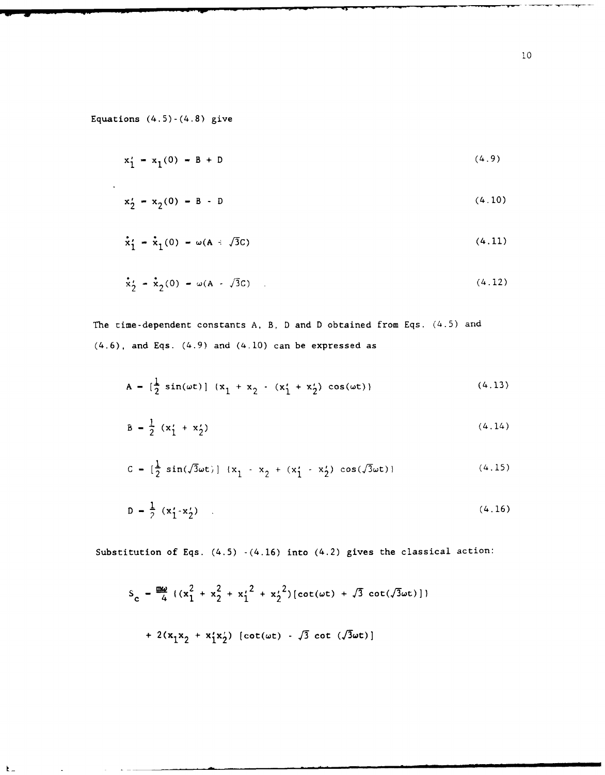Equations  $(4.5)-(4.8)$  give

 $\mathbf{F}$ 

$$
x'_1 = x_1(0) - B + D \tag{4.9}
$$

$$
x'_2 - x_2(0) - B - D \tag{4.10}
$$

$$
\dot{\mathbf{x}}'_1 - \dot{\mathbf{x}}_1(0) - \omega(\mathbf{A} \cdot \sqrt{3}\mathbf{C}) \tag{4.11}
$$

$$
\dot{x}'_2 = \dot{x}_2(0) - \omega(A - \sqrt{3}C) \tag{4.12}
$$

The time-dependent constants A, B, D and D obtained from Eqs. (4.5) and  $(4.6)$ , and Eqs.  $(4.9)$  and  $(4.10)$  can be expressed as

$$
A = \left[\frac{1}{2}\sin(\omega t)\right] (x_1 + x_2 - (x_1' + x_2')\cos(\omega t))
$$
 (4.13)

$$
B = \frac{1}{2} (x_1' + x_2') \tag{4.14}
$$

$$
C = \left[\frac{1}{2}\sin(\sqrt{3}\omega t)\right] (x_1 - x_2 + (x_1' - x_2')\cos(\sqrt{3}\omega t))
$$
 (4.15)

$$
D = \frac{1}{2} (x'_1 \cdot x'_2) \quad . \tag{4.16}
$$

Substitution of Eqs. (4.5) -(4.16) into (4.2) gives the classical action:

$$
S_c = \frac{mg}{4} \left( (x_1^2 + x_2^2 + x_1^2^2 + x_2^2) [\cot(\omega t) + \sqrt{3} \cot(\sqrt{3}\omega t)] + 2(x_1x_2 + x_1'x_2') [\cot(\omega t) - \sqrt{3} \cot(\sqrt{3}\omega t)] \right)
$$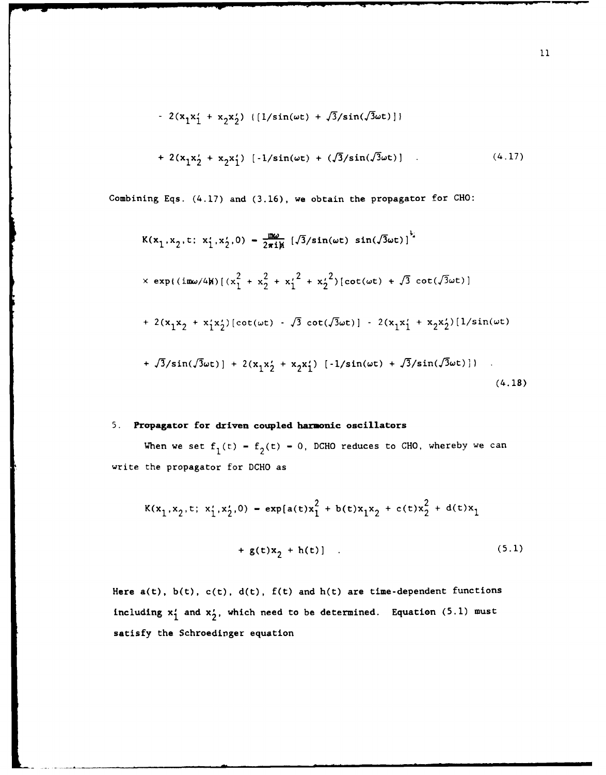- 
$$
2(x_1x_1' + x_2x_2')
$$
 ([ $1/\sin(\omega t) + \sqrt{3}/\sin(\sqrt{3}\omega t)$ ])  
+  $2(x_1x_2' + x_2x_1')$  [- $1/\sin(\omega t) + (\sqrt{3}/\sin(\sqrt{3}\omega t))$  (4.17)

Combining Eqs. (4.17) and (3.16), we obtain the propagator for CHO:

$$
K(x_1, x_2, t; x_1', x_2', 0) = \frac{m\omega}{2\pi i\pi} \left[ \sqrt{3}/\sin(\omega t) \sin(\sqrt{3}\omega t) \right]^2
$$
  
\n
$$
\times \exp\{ (\text{i} m\omega/4\pi) \left[ (x_1^2 + x_2^2 + x_1'^2 + x_2'^2) [\cot(\omega t) + \sqrt{3} \cot(\sqrt{3}\omega t) \right]
$$
  
\n
$$
+ 2(x_1x_2 + x_1'x_2') [\cot(\omega t) - \sqrt{3} \cot(\sqrt{3}\omega t)] - 2(x_1x_1' + x_2x_2') [1/\sin(\omega t)
$$
  
\n
$$
+ \sqrt{3}/\sin(\sqrt{3}\omega t)] + 2(x_1x_2' + x_2x_1') [-1/\sin(\omega t) + \sqrt{3}/\sin(\sqrt{3}\omega t)] \}.
$$
  
\n(4.18)

# **5.** Propagator for driven coupled harmonic oscillators

When we set  $f_1(t) - f_2(t) - 0$ , DCHO reduces to CHO, whereby we can write the propagator for DCHO as

$$
K(x_1, x_2, t; x_1', x_2', 0) = \exp[a(t)x_1^2 + b(t)x_1x_2 + c(t)x_2^2 + d(t)x_1 + g(t)x_2 + h(t)].
$$
\n(5.1)

Here  $a(t)$ ,  $b(t)$ ,  $c(t)$ ,  $d(t)$ ,  $f(t)$  and  $h(t)$  are time-dependent functions including  $x'_1$  and  $x'_2$ , which need to be determined. Equation (5.1) must satisfy the Schroedinger equation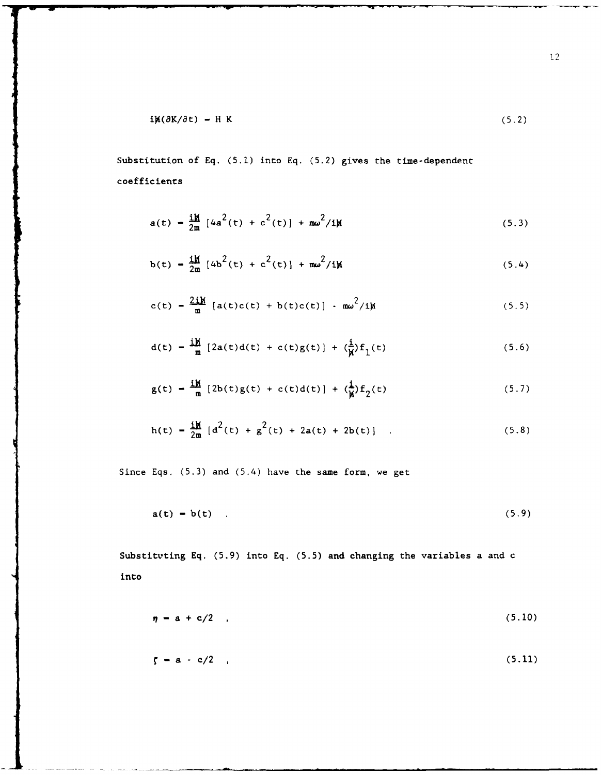$$
i\mathbf{H}(\partial \mathbf{K}/\partial \mathbf{t}) = \mathbf{H} \mathbf{K} \tag{5.2}
$$

Substitution of Eq. (5.1) into Eq. (5.2) gives the time-dependent coefficients

$$
a(t) - \frac{i\hbar}{2m} [4a^2(t) + c^2(t)] + m\omega^2/i\hbar
$$
 (5.3)

$$
b(t) = \frac{iM}{2m} [4b^2(t) + c^2(t)] + m\omega^2/iM
$$
 (5.4)

$$
c(t) = \frac{2i\hbar}{m} [a(t)c(t) + b(t)c(t)] - m\omega^2/i\hbar
$$
 (5.5)

$$
d(t) = \frac{iM}{m} [2a(t)d(t) + c(t)g(t)] + (\frac{i}{M})f_1(t)
$$
 (5.6)

$$
g(t) = \frac{iH}{m} [2b(t)g(t) + c(t)d(t)] + (\frac{i}{N})f_2(t)
$$
 (5.7)

$$
h(t) = \frac{iM}{2m} [d^{2}(t) + g^{2}(t) + 2a(t) + 2b(t)].
$$
 (5.8)

Since Eqs. (5.3) and (5.4) have the same form, we get

$$
a(t) = b(t) \tag{5.9}
$$

Substituting Eq. (5.9) into Eq. (5.5) and changing the variables a and c into

$$
\eta = a + c/2 \quad , \tag{5.10}
$$

$$
\zeta - a - c/2 \quad , \tag{5.11}
$$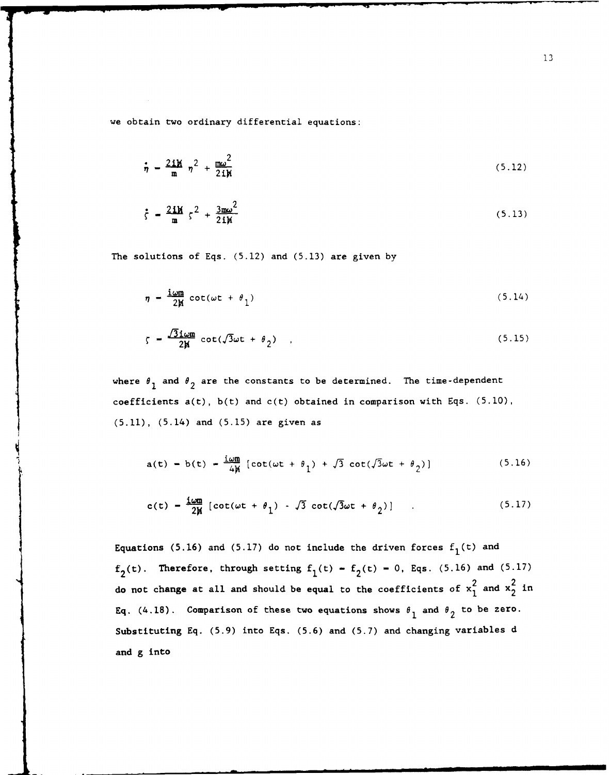we obtain two ordinary differential equations:

$$
\dot{\eta} = \frac{2\mathbf{i}\mathbf{M}}{\mathbf{m}} \eta^2 + \frac{\mathbf{m}\omega^2}{2\mathbf{i}\mathbf{M}}
$$
 (5.12)

$$
\dot{\zeta} = \frac{2\mathbf{i}\mathbf{M}}{\mathbf{m}} \zeta^2 + \frac{3\mathbf{m}\omega^2}{2\mathbf{i}\mathbf{M}}
$$
 (5.13)

The solutions of Eqs. (5.12) and (5.13) are given by

$$
\eta = \frac{\text{i} \omega \mathbf{n}}{2\mathbf{M}} \cot(\omega t + \theta_1) \tag{5.14}
$$

$$
\zeta = \frac{\sqrt{3} \text{ i } \omega m}{2 \text{ N}} \cot(\sqrt{3} \omega t + \theta_2) \quad . \tag{5.15}
$$

where  $\theta_1$  and  $\theta_2$  are the constants to be determined. The time-dependent coefficients a(t), b(t) and c(t) obtained in comparison with Eqs. (5.10), (5.11), (5.14) and (5.15) are given as

$$
a(t) = b(t) = \frac{i\omega m}{4\mu} \left[ \cot(\omega t + \theta_1) + \sqrt{3} \cot(\sqrt{3}\omega t + \theta_2) \right]
$$
 (5.16)

$$
c(t) = \frac{10m}{2M} \left[ \cot(\omega t + \theta_1) - \sqrt{3} \cot(\sqrt{3}\omega t + \theta_2) \right] \qquad . \tag{5.17}
$$

Equations (5.16) and (5.17) do not include the driven forces  $f_1(t)$  and  $f_2(t)$ . Therefore, through setting  $f_1(t) - f_2(t) - 0$ , Eqs. (5.16) and (5.17) do not change at all and should be equal to the coefficients of  $x_1^2$  and  $x_2^2$  in Eq. (4.18). Comparison of these two equations shows  $\theta_1$  and  $\theta_2$  to be zero. Substituting **Eq. (5.9)** into Eqs. **(5.6)** and **(5.7)** and changing variables **d** and **g** into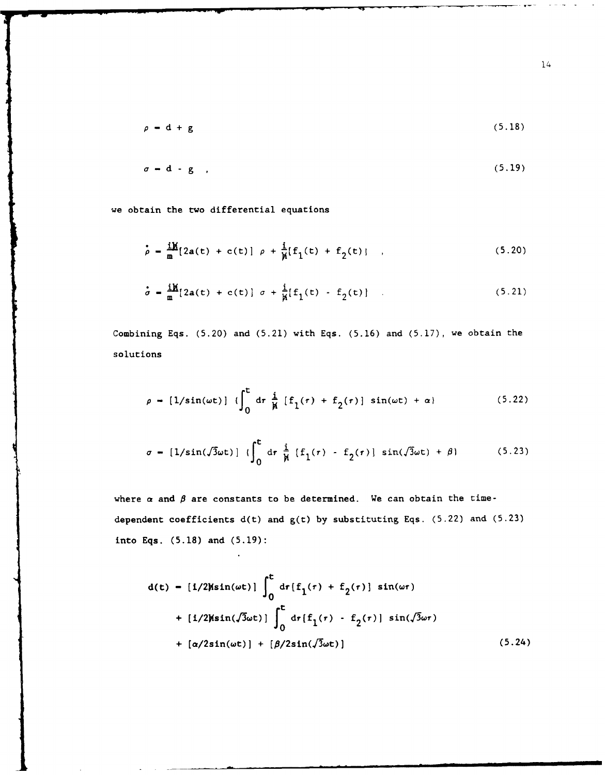$$
\rho = d + g \tag{5.18}
$$

$$
\sigma = d - g \t{5.19}
$$

we obtain the two differential equations

 $\mathbf{r}$ 

$$
\dot{\rho} = \frac{iM}{m} [2a(t) + c(t)] \rho + \frac{i}{M} [f_1(t) + f_2(t)] \quad , \tag{5.20}
$$

$$
\dot{\sigma} = \frac{i\mathbf{M}}{m} [2a(t) + c(t)] \sigma + \frac{i}{\mathcal{N}} [f_1(t) - f_2(t)] \quad .
$$
 (5.21)

Combining Eqs. (5.20) and (5.21) with Eqs. (5.16) and (5.17), we obtain the solutions

$$
\rho = [1/\sin(\omega t)] \left( \int_0^t dr \frac{i}{\mu} [f_1(r) + f_2(r)] \sin(\omega t) + \alpha \right) \qquad (5.22)
$$

$$
\sigma = [1/\sin(\sqrt{3}\omega t)] \{ \int_0^t dr \frac{i}{\mu} [f_1(r) - f_2(r)] \sin(\sqrt{3}\omega t) + \beta \}
$$
 (5.23)

where  $\alpha$  and  $\beta$  are constants to be determined. We can obtain the timedependent coefficients d(t) and g(t) by substituting Eqs. **(5.22)** and **(5.23)** into Eqs. (5.18) and (5.19):

$$
d(t) = [1/2K\sin(\omega t)] \int_0^t dr [f_1(\tau) + f_2(\tau)] \sin(\omega \tau)
$$
  
+ [1/2K\sin(\sqrt{3}\omega t)]  $\int_0^t dr [f_1(\tau) - f_2(\tau)] \sin(\sqrt{3}\omega \tau)$   
+ [a/2sin(\omega t)] + [\beta/2sin(\sqrt{3}\omega t)] (5.24)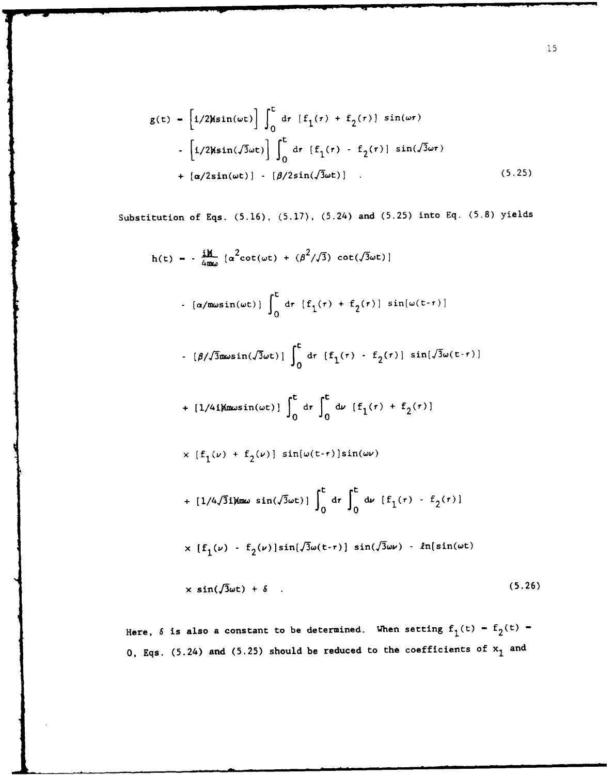$$
g(t) = \left[i/2\text{Msin}(\omega t)\right] \int_0^t dr \left[f_1(\tau) + f_2(\tau)\right] \sin(\omega \tau)
$$

$$
- \left[i/2\text{Msin}(\sqrt{3}\omega t)\right] \int_0^t dr \left[f_1(\tau) - f_2(\tau)\right] \sin(\sqrt{3}\omega \tau)
$$

$$
+ \left[\alpha/2\sin(\omega t)\right] - \left[\beta/2\sin(\sqrt{3}\omega t)\right] . \tag{5.25}
$$

Substitution of Eqs. (5.16), (5.17), (5.24) and (5.25) into Eq. (5.8) yields

$$
h(t) = -\frac{iH}{4m\omega} \left[ \alpha^2 \cot(\omega t) + (\beta^2/\sqrt{3}) \cot(\sqrt{3}\omega t) \right]
$$
  
\n
$$
- \left[ \alpha/m\omega \sin(\omega t) \right] \int_0^t dr \left[ f_1(r) + f_2(r) \right] \sin[\omega(t-r)]
$$
  
\n
$$
- \left[ \beta/\sqrt{3}m\omega \sin(\sqrt{3}\omega t) \right] \int_0^t dr \left[ f_1(r) - f_2(r) \right] \sin[\sqrt{3}\omega(t-r)]
$$
  
\n
$$
+ \left[ 1/4i\mu\omega \sin(\omega t) \right] \int_0^t dr \int_0^t d\nu \left[ f_1(r) + f_2(r) \right]
$$
  
\n
$$
\times \left[ f_1(\nu) + f_2(\nu) \right] \sin[\omega(t-r)] \sin(\omega \nu)
$$
  
\n
$$
+ \left[ 1/4\sqrt{3}i\mu\omega \sin(\sqrt{3}\omega t) \right] \int_0^t dr \int_0^t d\nu \left[ f_1(r) - f_2(r) \right]
$$
  
\n
$$
\times \left[ f_1(\nu) - f_2(\nu) \right] \sin[\sqrt{3}\omega(t-r)] \sin(\sqrt{3}\omega \nu) - \ln[\sin(\omega t)]
$$

$$
\times \sin(\sqrt{3}\omega t) + \delta \quad . \tag{5.26}
$$

Here,  $\delta$  is also a constant to be determined. When setting  $f_1(t) - f_2(t)$   $-$ 0, Eqs. (5.24) and (5.25) should be reduced to the coefficients of  $x_1$  and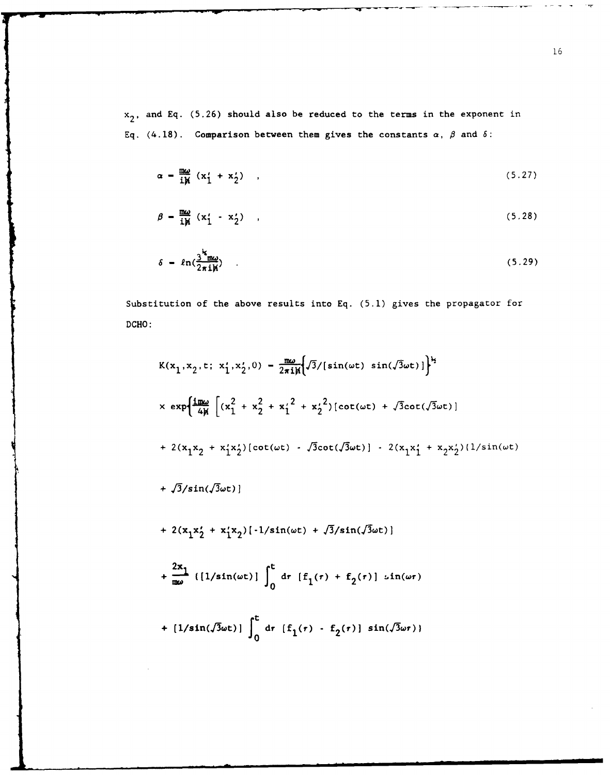**x<sub>2</sub>**, and Eq. (5.26) should also be reduced to the terms in the exponent in Eq.  $(4.18)$ . Comparison between them gives the constants  $\alpha$ ,  $\beta$  and  $\delta$ :

$$
\alpha = \frac{m\omega}{i\mu} (x_1' + x_2')
$$
 (5.27)

$$
\beta = \frac{m\omega}{i\mu} (x_1' - x_2')
$$
 (5.28)

$$
\delta = \ln(\frac{3^k_{\text{max}}}{2\pi i \hbar}) \tag{5.29}
$$

Substitution of the above results into Eq. (5.1) gives the propagator for DCHO:

$$
K(x_1, x_2, t; x_1', x_2', 0) - \frac{m\omega}{2\pi i \pi} \Big\{ \int 3 / [\sin(\omega t) \sin(\sqrt{3}\omega t)] \Big\}^{\frac{1}{2}}
$$
  
\n
$$
\times \exp \Big\{ \frac{i m\omega}{4\pi} \Big[ (x_1^2 + x_2^2 + x_1'^2 + x_2'^2) [\cot(\omega t) + \sqrt{3} \cot(\sqrt{3}\omega t)]
$$
  
\n
$$
+ 2(x_1x_2 + x_1'x_2') [\cot(\omega t) - \sqrt{3} \cot(\sqrt{3}\omega t)] - 2(x_1x_1' + x_2x_2') (1/\sin(\omega t))
$$
  
\n
$$
+ \sqrt{3}/\sin(\sqrt{3}\omega t) \Big\}
$$
  
\n
$$
+ 2(x_1x_2' + x_1'x_2) [-1/\sin(\omega t) + \sqrt{3}/\sin(\sqrt{3}\omega t)]
$$
  
\n
$$
+ \frac{2x_1}{m\omega} \left( \frac{1}{\sin(\omega t)} \int_0^t dr [f_1(r) + f_2(r)] \sin(\omega r) + \frac{2x_1}{m\omega} (\sqrt{3}\omega t)] \int_0^t dr [f_1(r) - f_2(r)] \sin(\sqrt{3}\omega r) \Big\}
$$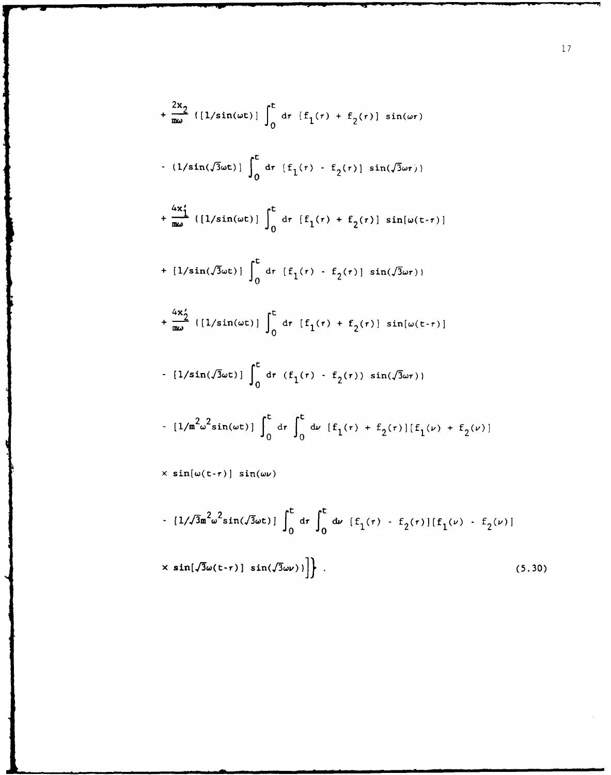$$
+\frac{2x_{2}}{\omega_{0}} \left( [1/sin(\omega t)] \int_{0}^{t} dr \left[ f_{1}(r) + f_{2}(r) \right] sin(\omega r) \right.
$$
  
\n
$$
+ (1/sin(\sqrt{3}\omega t)) \int_{0}^{t} dr \left[ f_{1}(r) - f_{2}(r) \right] sin(\sqrt{3}\omega r) \right]
$$
  
\n
$$
+\frac{4x_{1}'}{\omega_{0}} \left( [1/sin(\omega t)] \int_{0}^{t} dr \left[ f_{1}(r) + f_{2}(r) \right] sin(\omega (t-r)) \right]
$$
  
\n
$$
+ [1/sin(\sqrt{3}\omega t)] \int_{0}^{t} dr \left[ f_{1}(r) - f_{2}(r) \right] sin(\sqrt{3}\omega r) \right)
$$
  
\n
$$
+\frac{4x_{2}'}{\omega_{0}} \left( [1/sin(\omega t)] \int_{0}^{t} dr \left[ f_{1}(r) + f_{2}(r) \right] sin(\omega (t-r)) \right]
$$
  
\n
$$
- [1/sin(\sqrt{3}\omega t)] \int_{0}^{t} dr \left( f_{1}(r) - f_{2}(r) \right) sin(\sqrt{3}\omega r) \right)
$$
  
\n
$$
- [1/m^{2}\omega^{2}sin(\omega t)] \int_{0}^{t} dr \int_{0}^{t} dr \left[ f_{1}(r) + f_{2}(r) \right] \left[ f_{1}(\nu) + f_{2}(\nu) \right]
$$
  
\n
$$
\times sin(\omega (t-r)) sin(\omega \nu)
$$
  
\n
$$
- [1/\sqrt{3}\omega^{2}sin(\sqrt{3}\omega t)] \int_{0}^{t} dr \int_{0}^{t} dr \left[ f_{1}(r) - f_{2}(r) \right] \left[ f_{1}(\nu) - f_{2}(\nu) \right]
$$
  
\n
$$
\times sin(\sqrt{3}\omega (t-r)) sin(\sqrt{3}\omega \nu) \right]. \qquad (5.30)
$$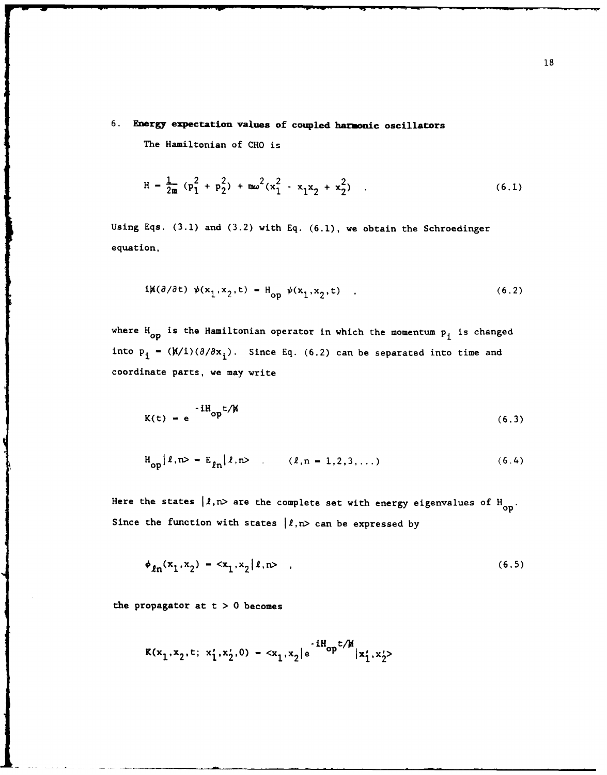# **6. Energy expectation values of coupled harmonic oscillators**

The Hamiiltonian of **CHO** is

$$
H = \frac{1}{2m} (p_1^2 + p_2^2) + m\omega^2 (x_1^2 - x_1x_2 + x_2^2)
$$
 (6.1)

Using Eqs. **(3.1)** and **(3.2)** with **Eq. (6.1),** we obtain the Schroedinger equation,

$$
i\mathbf{M}(\partial/\partial t) \psi(\mathbf{x}_1, \mathbf{x}_2, t) - \mathbf{H}_{\text{on}} \psi(\mathbf{x}_1, \mathbf{x}_2, t) \quad , \tag{6.2}
$$

where H<sub>op</sub> is the Hamiltonian operator in which the momentum **p**<sub>i</sub> is changed into  $\mathbf{p_i}$  **-** ( $\mathbf{M}/i$ )( $\partial/\partial \mathbf{x_i}$ ). Since Eq. (6.2) can be separated into time and coordinate parts, we may write

$$
K(t) = e^{-iH_{op}t/M}
$$
 (6.3)

$$
H_{op}|\ell, n\rangle = E_{\ell n}|\ell, n\rangle \qquad (\ell, n = 1, 2, 3, ...)
$$
 (6.4)

Here the states  $\lvert \ell, n \rangle$  are the complete set with energy eigenvalues of H<sub>op</sub>. Since the function with states  $|l, n\rangle$  can be expressed by

$$
\phi_{\ell n}(x_1, x_2) - \langle x_1, x_2 | \ell, n \rangle \quad , \tag{6.5}
$$

the propagator at t **> 0** becomes

$$
K(x_1, x_2, t; x_1', x_2', 0) = \langle x_1, x_2 \rangle e^{-iH_{op}t/M} |x_1', x_2'|
$$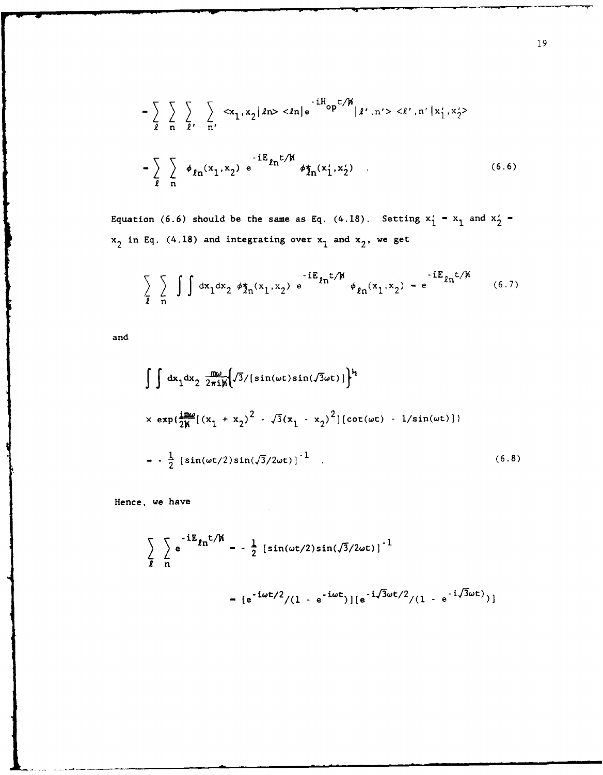$$
-\sum_{\ell} \sum_{n} \sum_{\ell'} \sum_{n'} \langle x_1, x_2 | \ell n \rangle \langle \ell n | e^{-iH_{\text{op}}t/\hbar} | \ell', n' \rangle \langle \ell', n' | x'_1, x'_2 \rangle
$$
  

$$
-\sum_{\ell} \sum_{n} \phi_{\ell n}(x_1, x_2) e^{-iE_{\ell n}t/\hbar} \phi_{\ell n}(x'_1, x'_2)
$$
 (6.6)

Equation (6.6) should be the same as Eq. (4.18). Setting  $x'_1 - x_1$  and  $x'_2$   $x_2$  in Eq. (4.18) and integrating over  $x_1$  and  $x_2$ , we get

$$
\sum_{\ell} \sum_{n} \int \int dx_1 dx_2 \phi_{\ell n}^{*}(x_1, x_2) e^{-iE_{\ell n} t/\hbar} \phi_{\ell n}^{*}(x_1, x_2) - e^{-iE_{\ell n} t/\hbar}
$$
(6.7)

and

$$
\int \int dx_1 dx_2 \frac{d\omega}{2\pi i \mu} \Biggl\{ \sqrt{3}/[\sin(\omega t) \sin(\sqrt{3}\omega t)] \Biggr\}^2
$$
  
 
$$
\times \exp\{\frac{i\pi \omega}{2\mu}[(x_1 + x_2)^2 - \sqrt{3}(x_1 - x_2)^2][\cot(\omega t) - 1/\sin(\omega t)] \}
$$
  
=  $-\frac{1}{2} [\sin(\omega t/2)\sin(\sqrt{3}/2\omega t)]^{-1}$  (6.8)

Hence, we have

$$
\sum_{\ell} e^{-iE_{\ell n}t/\hbar} = -\frac{1}{2} [\sin(\omega t/2) \sin(\sqrt{3}/2\omega t)]^{-1}
$$
  
=  $[e^{-i\omega t/2}/(1 - e^{-i\omega t})][e^{-i\sqrt{3}\omega t/2}/(1 - e^{-i\sqrt{3}\omega t)})]$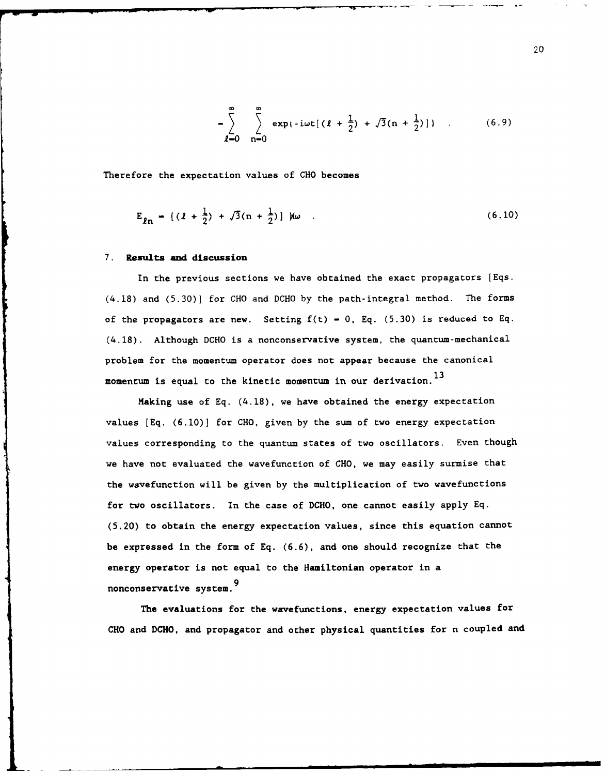$$
-\sum_{\ell=0}^{\infty}\sum_{n=0}^{\infty} \exp\{-i\omega t[(\ell+\frac{1}{2})+\sqrt{3}(n+\frac{1}{2})]\}\quad .
$$
 (6.9)

Therefore the expectation values of **CHO** becomes

$$
E_{\ell n} = \left[ (l + \frac{1}{2}) + \sqrt{3}(n + \frac{1}{2}) \right] W \quad . \tag{6.10}
$$

### **7. Results and discussion**

In the previous sections we have obtained the exact propagators [Eqs. (4.18) and (5.30)] for **CHO** and DCHO by the path-integral method. The forms of the propagators are new. Setting  $f(t) = 0$ , Eq. (5.30) is reduced to Eq. (4.18). Although DCHO is a nonconservative system, the quantum-mechanical problem for the momentum operator does not appear because the canonical momentum is equal to the kinetic momentum in our derivation.<sup>13</sup>

Making use of Eq. (4.18), we have obtained the energy expectation values [Eq. (6.10)] for **CHO,** given by the sum of two energy expectation values corresponding to the quantum states of two oscillators. Even though we have not evaluated the wavefunction of **CHO,** we may easily surmise that the wavefunction will be given by the multiplication of two wavefunctions for two oscillators. In the case of **DCHO,** one cannot easily apply Eq. (5.20) to obtain the energy expectation values, since this equation cannot be expressed in the form of Eq. (6.6), and one should recognize that the energy operator is not equal to the Hamiltonian operator in a **9** nonconservative system.

The evaluations for the wavefunctions, energy expectation values for **CHO** and **DCHO,** and propagator and other physical quantities for n coupled and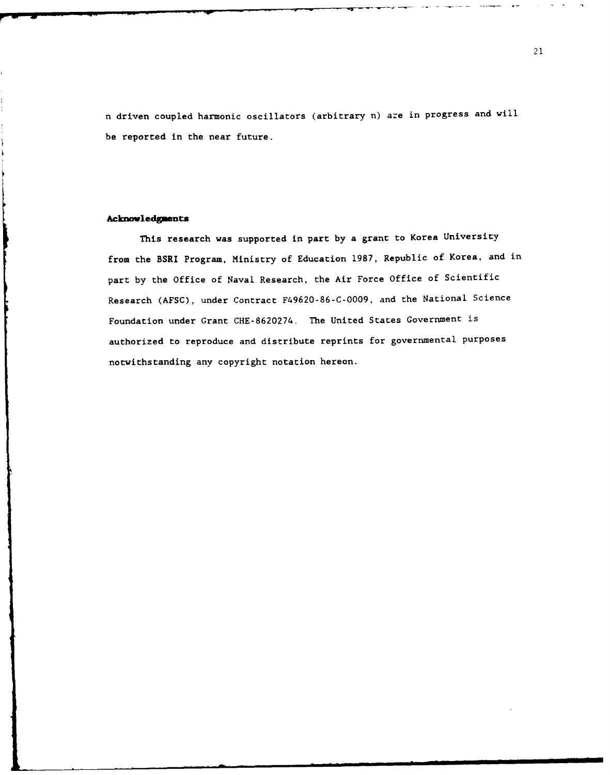n driven coupled harmonic oscillators (arbitrary n) are in progress and will be reported in the near future.

### **Acknovledg ents**

This research was supported in part by a grant to Korea University from the BSRI Program, Ministry of Education **1987,** Republic of Korea, and in part by the Office of Naval Research, the Air Force Office of Scientific Research (AFSC), under Contract F49620-86-C-0009, and the National Science Foundation under Grant CHE-8620274. The United States Government is authorized to reproduce and distribute reprints for governmental purposes notwithstanding any copyright notation hereon.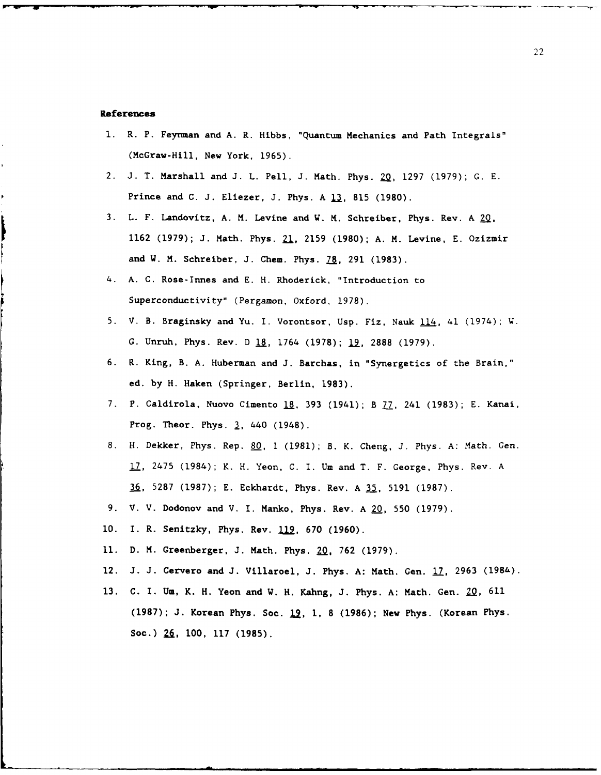#### **References**

**1.** R. P. Feynman and A. R. Hibbs, "Quantum Mechanics and Path Integrals" (McGraw-Hill, New York, 1965).

-- - - • .- . . .. - --.

- 2. J. T. Marshall and J. L. Pell, J. Math. Phys. 20, 1297 (1979); G. E. Prince and C. J. Eliezer, J. Phys. A **13,** 815 (1980).
- **3.** L. F. Landovitz, **A.** M. Levine and W. M. Schreiber, Phys. Rev. A **2q,** 1162 (1979); J. Math. Phys. **21,** 2159 (1980); A. **M.** Levine, E. Ozizmir and W. M. Schreiber, J. Chem. Phys.  $\overline{28}$ , 291 (1983).
- 4. A. C. Rose-Innes and E. H. Rhoderick, "Introduction to Superconductivity" (Pergamon, Oxford, 1978).
- **5.** V. B. Braginsky and Yu. I. Vorontsor, Usp. Fiz, Nauk 114, 41 (1974); W. G. Unruh, Phys. Rev. D **\_U,** 1764 (1978); **19,** 2888 (1979).
- 6. R. King, B. A. Huberman and J. Barchas, in "Synergetics of the Brain," ed. by H. Haken (Springer, Berlin, 1983).
- 7. P. Caldirola, Nuovo Cimento **18,** 393 (1941); B **77,** 241 (1983); E. Kanai, Prog. Theor. Phys. **3,** 440 (1948).
- 8. H. Dekker, Phys. Rep. 80, 1 (1981); B. K. Cheng, J. Phys. A: Math. Gen. 17, 2475 (1984); K. H. Yeon, C. I. Um and T. F. George, Phys. Rev. A 36, 5287 (1987); E. Eckhardt, Phys. Rev. A **35,** 5191 (1987).
- 9. V. V. Dodonov and V. I. Manko, Phys. Rev. A 20, 550 (1979).
- **10.** I. R. Senitzky, Phys. Rev. 112, **670** (1960).
- **11.** D. M. Greenberger, **J.** Math. Phys. **2Q,** 762 (1979).
- 12. **J. J.** Cervero and **J.** Villaroel, **J.** Phys. A: Math. Gen. 17, 2963 (1986).
- 13. C. I. **Um,** K. H. Yeon and W. H. Kahng, J. Phys. A: Math. Gen. Z2, 611 (1987); J. Korean Phys. Soc. 12, **1, 8** (1986); New Phys. (Korean Phys. Soc.) 2&, **100,** 117 **(1985).**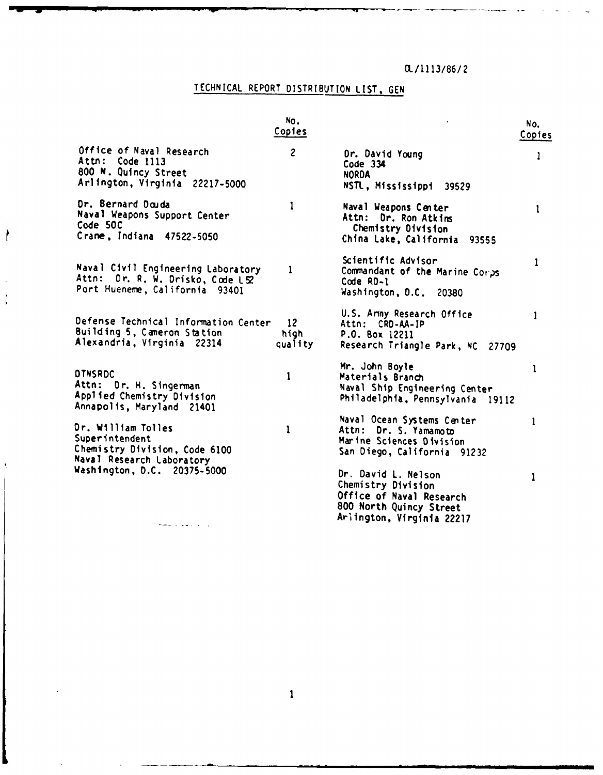# OL/1 **113/86/** 2

# TECHNICAL REPORT DISTRIBUTION LIST, GEN

 $\Big\}$ 

 $\frac{1}{3}$ 

|                                                                                                          | No.<br>Copies           |                                                                                                                               | No.<br>Copies |
|----------------------------------------------------------------------------------------------------------|-------------------------|-------------------------------------------------------------------------------------------------------------------------------|---------------|
| Office of Naval Research<br>Attn: Code 1113<br>800 N. Quincy Street<br>Arlington, Virginia 22217-5000    | $\overline{\mathbf{c}}$ | Dr. David Young<br>Code 334<br><b>NORDA</b><br>NSTL, Mississippi<br>39529                                                     | 1             |
| Dr. Bernard Douda<br>Naval Weapons Support Center<br>Code 50C<br>Crane, Indiana 47522-5050               | 1                       | Naval Weapons Center<br>Attn: Dr. Ron Atkins<br>Chemistry Division<br>China Lake, California 93555                            | $\mathbf{1}$  |
| Naval Civil Engineering Laboratory<br>Attn: Dr. R. W. Drisko, Code LS2<br>Port Hueneme, California 93401 | 1                       | Scientific Advisor<br>Commandant of the Marine Corps<br>$Code$ $RD-1$<br>Washington, D.C.<br>20380                            | 1             |
| Defense Technical Information Center<br>Building 5, Cameron Station<br>Alexandria, Virginia 22314        | 12<br>hiah<br>quality   | U.S. Army Research Office<br>Attn: CRD-AA-IP<br>P.O. Box 12211<br>Research Triangle Park, NC 27709                            | 1             |
| <b>DINSRDC</b><br>Attn: Dr. H. Singerman<br>Applied Chemistry Division<br>Annapolis, Maryland 21401      | 1                       | Mr. John Boyle<br>Materials Branch<br>Naval Ship Engineering Center<br>Philadelphia, Pennsylvania 19112                       | 1             |
| Or. William Tolles<br>Superintendent<br>Chemistry Division, Code 6100<br>Naval Research Laboratory       | 1                       | Naval Ocean Systems Center<br>Attn: Dr. S. Yamamoto<br>Marine Sciences Division<br>San Diego, California 91232                | 1             |
| Washington, D.C. 20375-5000<br>لانتقاء والمستجد                                                          |                         | Dr. David L. Nelson<br>Chemistry Division<br>Office of Naval Research<br>800 North Quincy Street<br>Ariington, Virginia 22217 |               |

 $\mathbf{1}$ 

 $\ddot{\phantom{a}}$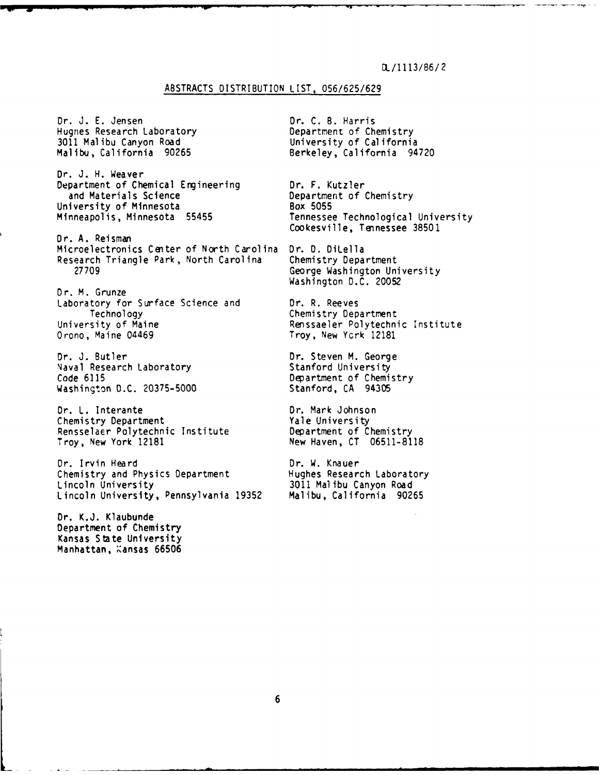# OL/1 **113/86/** 2

### ABSTRACTS DISTRIBUTION LIST, 056/625/629

Dr. J. E. Jensen<br>
Hugnes Research Laboratory Department of Chemistry Hugnes Research Laboratory 3011 Malibu Canyon Road University of California

Dr. J. H. Weaver Department of Chemical Engineering 1. Dr. F. Kutzler<br>and Materials Science 1. Department of 6 University of Minnesota<br>Minneapolis, Minnesota 55455

Cookesville, Tennessee 38501 Dr. A. Reisman Microelectronics Center of North Carolina Dr. D. DiLella Research Triangle Park, North Carolina Chemistry Department 27709 George Washington University

Dr. M. Grunze Laboratory for Surface Science and 1. P. R. Reeves<br>Technology 1. Chemistry Dep University of Maine **Renssaeler Polytechnic Institute**<br>
Orono, Maine 04469 **Rensert Communist Communist Communist Communist Communist Communist Communist Communist Commu** 

Dr. J. Butler Dr. Steven M. George Naval Research Laboratory Code 6115 Department of Chemistry Washington D.C. 20375-5000 Stanford, CA 94305

Dr. L. Interante Dr. Mark Johnson Chemistry Department Rensselaer Polytechnic Institute Department of Chemistry Troy, New York 12181 New Haven, CT 06511-8118

Dr. Irvin Heard Dr. W. Knauer<br>Chemistry and Physics Department Hughes Research Laboratory Chemistry and Physics Department<br>Lincoln University Lincoln University, Pennsylvania 19352 Malibu, California 90265

Dr. K.J. Klaubunde Department of Chemistry Kansas State University Manhattan, Kansas 66506 Berkeley, California 94720

Department of Chemistry<br>Box 5055 Tennessee Technological University

Washington D.C. 20052

Chemistry Department Troy, New York 12181

3011 Malibu Canyon Road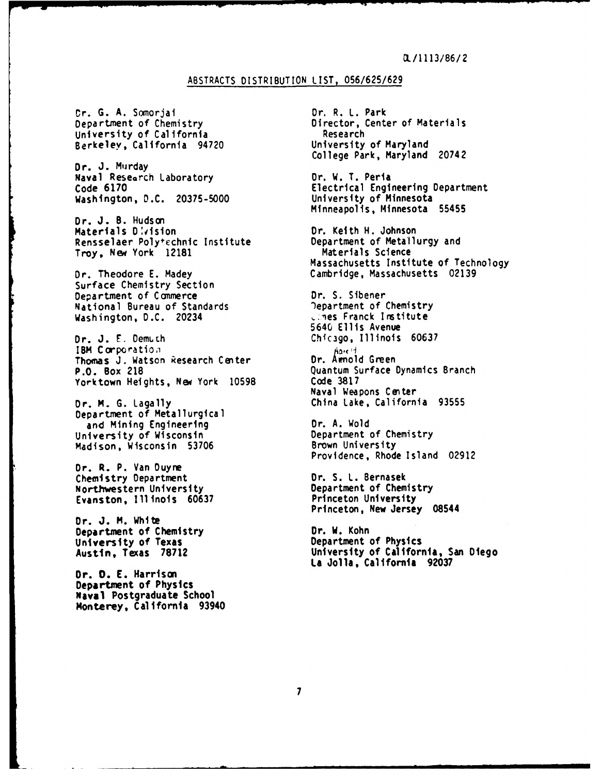# ABSTRACTS DISTRIBUTION **LIST,** 056/625/629

or. G. A. Somorjai Dr. R. L. Park University of California Research Berkeley, California 94720

Dr. J. Murday Naval Research Laboratory **Dr. W. T. Peria**<br>Code 6170 **Dr. W. T. Peria** Washington, D.C. 20375-5000

Dr. J. **B.** Hudson Materials D:vision **Disk Communist Communist Communist** Relative Dr. Keith H. Johnson<br>Rensselaer Polytechnic Institute **Department of Metallurgy and** Rensselaer Polytechnic Institute **Department of Metallurgy and America**<br>Trov, New York 12181 **Materials Science** Troy, New York 12181

Surface Chemistry Section Department of Commerce **Dr. S. Sibener**<br>National Bureau of Standards **Department of Chemistry** National Bureau of Standards and Communicational Person of Chemistry<br>Washington, D.C. 20234 **Washington, D.C. 20234** 

Dr. J. **E.** Demuch Chicago, Illinois 60637 **IBM Corporation**<br>Thomas J. Watson Research Center **and Dr. Amnold Green** Thomas J. Watson Research Center<br>P.O. Box 218 Yorktown Heights, New York 10598

Department of Metallurgical and Mining Engineering The Communist Communist Chemistry<br>Department of Chemistry Department of Chemistry University of Wisconsin Chemistry Department of Chemistry Department of Chemistry<br>
Madison, Wisconsin 53706 Chemistry Brown University Madison, Wisconsin 53706

Dr. R. P. Van Duyne **Chemistry Department Chemistry Dr. S. L. Bernasek<br>
Northwestern University Chemistry Department of Chemistry** Northwestern University Department of Chemistry

Dr. **J.** M. White **Department of Chemistry <b>Dr. W. Kohn**<br>
University of Texas **Department of Physics University of Texas<br>Austin, Texas 78712** 

**Dr. 0. E. Harrison Department of Physics Naval Postgraduate School Monterey,** California **93940**

Director, Center of Materials<br>Research College Park, Maryland 20742 Electrical Engineering Department<br>University of Minnesota Minneapolis, Minnesota **55455** Massachusetts Institute of Technology Dr. Theodore **E.** Madey Cambridge, Massachusetts 02139 5640 Ellis Avenue Quantum Surface Dynamics Branch<br>Code 3817 Naval Weapons Center Dr. M. G. Lagally China Lake, California **<sup>93555</sup>** Providence, Rhode Island 02912 Evanston, Illinois **60637** Princeton University Princeton, New Jersey 08544 **Austin, Texas 78712 University of California, San Diego La Jolla, California 92037**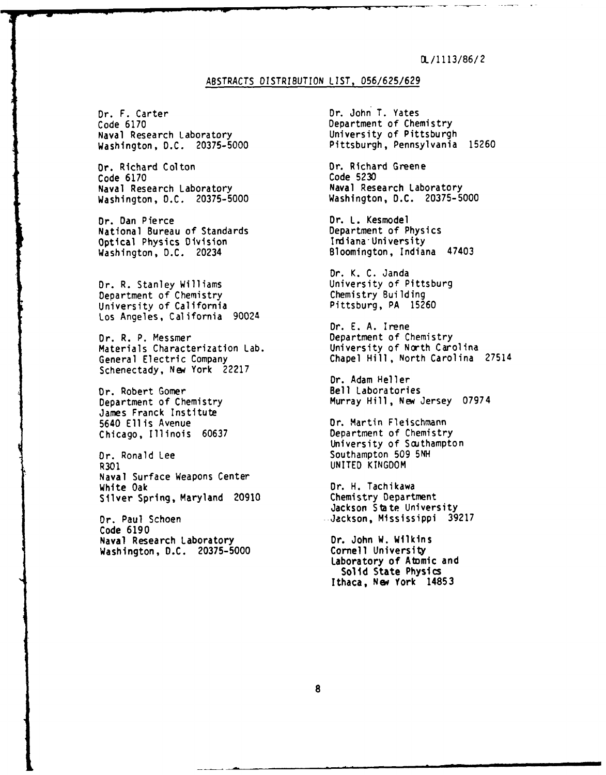# **DL/1113/86/2**

# ABSTRACTS DISTRIBUTION LIST, 056/625/629

Dr. F. Carter **Dr. Dr. John T. Yates**<br>Code 6170 **Department of Che** Naval Research Laboratory<br>Washington, D.C. 20375-5000

Or. Richard Colton **Dr. Richard Greene**<br>
Code 6170 Code 5230 Code 6170<br>Naval Research Laboratory Washington, D.C. 20375-5000

Dr. Dan Pierce<br>
National Bureau of Standards<br>
Department of Physics National Bureau of Standards<br>
Optical Physics Division<br>
Optical Physics Division<br>
Department of Physics Optical Physics Division<br>Washington, D.C. 20234

Dr. R. Stanley Williams University of Pittsburg Department of Chemistry Chemistry Building<br>University of California Chemistry Pittsburg, PA 15260 University of California Los Angeles, California 90024

Materials Characterization Lab.<br>General Electric Company Schenectady, New York 22217

Dr. Robert Gomer<br>
Department of Chemistry Fill, New J James Franck Institute 5640 Ellis Avenue<br>
Chicago, Illinois 60637 Department of Chemistry Chicago, Illinois 60637

Dr. Ronald Lee Southampton 509 5NH<br>R301 Southampton 509 5NH Naval Surface Weapons Center White Oak<br>Silver Spring, Maryland 20910 **Dr. H. Tachikawa**<br>Chemistry Department Silver Spring, Maryland 20910

Code 6190 Naval Research Laboratory **Dr. John W. Wilkins**<br>Washington, D.C. 20375-5000 **Democration Cornell University** Washington, D.C. 20375-5000

Department of Chemistry<br>University of Pittsburgh Pittsburgh, Pennsylvania 15260

Naval Research Laboratory<br>Washington, D.C. 20375-5000

Bloomington, Indiana 47403

Dr. K. C. Janda<br>University of Pittsburg

Dr. E. A. Irene Dr. R. P. Messmer<br>
Materials Characterization Lab. University of North Carolina Chapel Hill, North Carolina 27514

> Dr. Adam Heller Murray Hill, New Jersey 07974

University of Southampton UNITED KINGDOM

Jackson State University Dr. Paul Schoen Jackson, Mississippi 39217

> Laboratory of Atomic and **Solid** State **Physics Ithaca, Nsw York 14853**